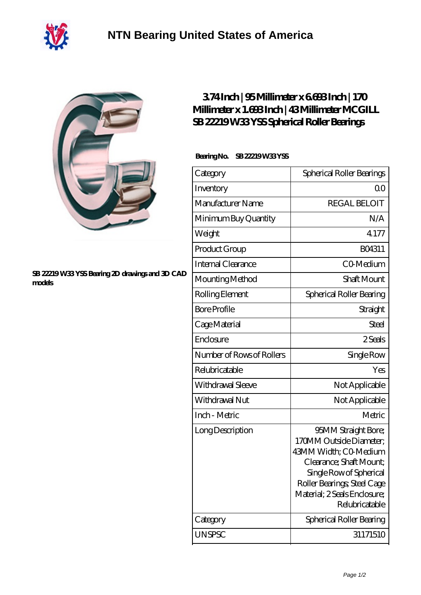



## **[SB 22219 W33 YSS Bearing 2D drawings and 3D CAD](https://m.40ozbounce-tube.net/pic-267417.html) [models](https://m.40ozbounce-tube.net/pic-267417.html)**

## **[3.74 Inch | 95 Millimeter x 6.693 Inch | 170](https://m.40ozbounce-tube.net/ar-267417-mcgill-sb-22219-w33-yss-spherical-roller-bearings.html) [Millimeter x 1.693 Inch | 43 Millimeter MCGILL](https://m.40ozbounce-tube.net/ar-267417-mcgill-sb-22219-w33-yss-spherical-roller-bearings.html) [SB 22219 W33 YSS Spherical Roller Bearings](https://m.40ozbounce-tube.net/ar-267417-mcgill-sb-22219-w33-yss-spherical-roller-bearings.html)**

## **Bearing No. SB 22219 W33 YSS**

| Category                  | Spherical Roller Bearings                                                                                                                                                                                      |
|---------------------------|----------------------------------------------------------------------------------------------------------------------------------------------------------------------------------------------------------------|
| Inventory                 | Q0                                                                                                                                                                                                             |
| Manufacturer Name         | <b>REGAL BELOIT</b>                                                                                                                                                                                            |
| Minimum Buy Quantity      | N/A                                                                                                                                                                                                            |
| Weight                    | 4.177                                                                                                                                                                                                          |
| Product Group             | BO4311                                                                                                                                                                                                         |
| Internal Clearance        | CO-Medium                                                                                                                                                                                                      |
| Mounting Method           | <b>Shaft Mount</b>                                                                                                                                                                                             |
| Rolling Element           | Spherical Roller Bearing                                                                                                                                                                                       |
| <b>Bore Profile</b>       | Straight                                                                                                                                                                                                       |
| Cage Material             | Steel                                                                                                                                                                                                          |
| Enclosure                 | 2 Seals                                                                                                                                                                                                        |
| Number of Rows of Rollers | Single Row                                                                                                                                                                                                     |
| Relubricatable            | Yes                                                                                                                                                                                                            |
| Withdrawal Sleeve         | Not Applicable                                                                                                                                                                                                 |
| Withdrawal Nut            | Not Applicable                                                                                                                                                                                                 |
| Inch - Metric             | Metric                                                                                                                                                                                                         |
| Long Description          | 95MM Straight Bore;<br>170MM Outside Diameter:<br>43MM Width; CO-Medium<br>Clearance; Shaft Mount;<br>Single Row of Spherical<br>Roller Bearings; Steel Cage<br>Material; 2 Seals Enclosure;<br>Relubricatable |
| Category                  | Spherical Roller Bearing                                                                                                                                                                                       |
| <b>UNSPSC</b>             | 31171510                                                                                                                                                                                                       |